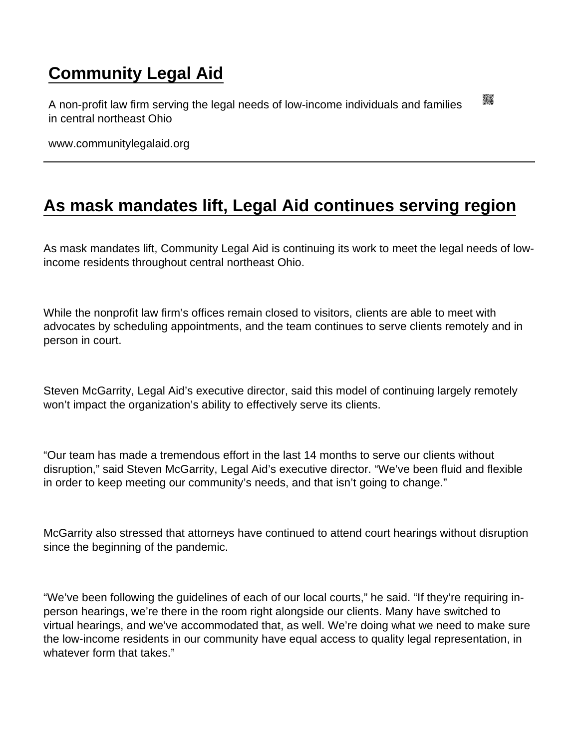## [Community Legal Aid](https://www.communitylegalaid.org/)

A non-profit law firm serving the legal needs of low-income individuals and families in central northeast Ohio

www.communitylegalaid.org

## [As mask mandates lift, Legal Aid continues serving region](https://www.communitylegalaid.org/node/1504/mask-mandates-lift-legal-aid-continues-serving-region)

As mask mandates lift, Community Legal Aid is continuing its work to meet the legal needs of lowincome residents throughout central northeast Ohio.

While the nonprofit law firm's offices remain closed to visitors, clients are able to meet with advocates by scheduling appointments, and the team continues to serve clients remotely and in person in court.

Steven McGarrity, Legal Aid's executive director, said this model of continuing largely remotely won't impact the organization's ability to effectively serve its clients.

"Our team has made a tremendous effort in the last 14 months to serve our clients without disruption," said Steven McGarrity, Legal Aid's executive director. "We've been fluid and flexible in order to keep meeting our community's needs, and that isn't going to change."

McGarrity also stressed that attorneys have continued to attend court hearings without disruption since the beginning of the pandemic.

"We've been following the guidelines of each of our local courts," he said. "If they're requiring inperson hearings, we're there in the room right alongside our clients. Many have switched to virtual hearings, and we've accommodated that, as well. We're doing what we need to make sure the low-income residents in our community have equal access to quality legal representation, in whatever form that takes."